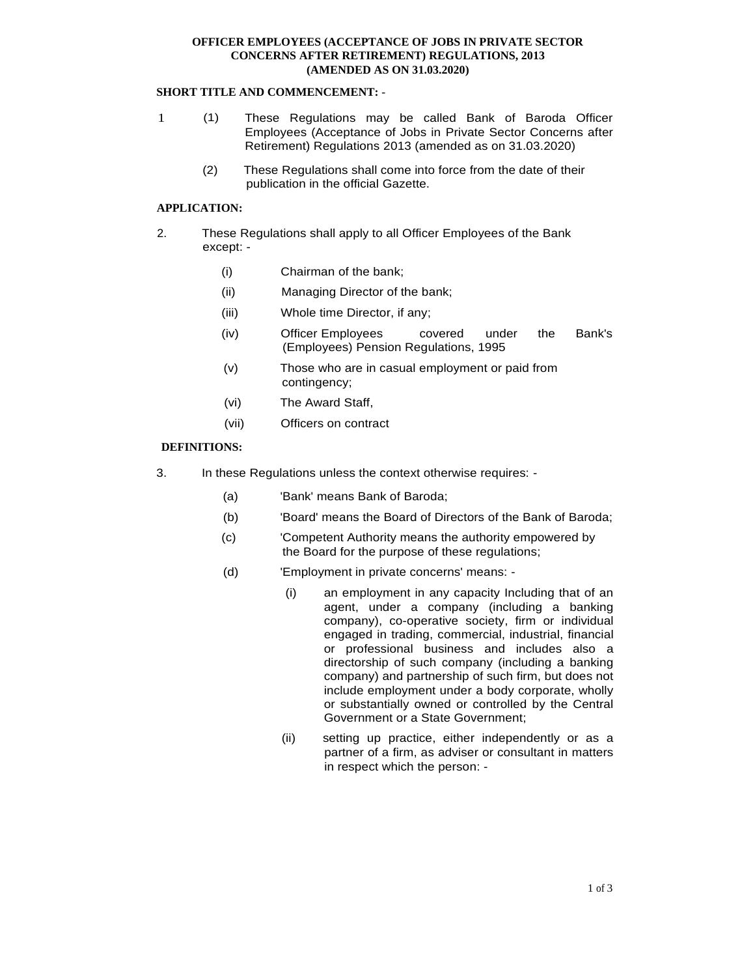# **OFFICER EMPLOYEES (ACCEPTANCE OF JOBS IN PRIVATE SECTOR CONCERNS AFTER RETIREMENT) REGULATIONS, 2013 (AMENDED AS ON 31.03.2020)**

# **SHORT TITLE AND COMMENCEMENT:** -

- 1 (1) These Regulations may be called Bank of Baroda Officer Employees (Acceptance of Jobs in Private Sector Concerns after Retirement) Regulations 2013 (amended as on 31.03.2020)
	- (2) These Regulations shall come into force from the date of their publication in the official Gazette.

## **APPLICATION:**

- 2. These Regulations shall apply to all Officer Employees of the Bank except: -
	- (i) Chairman of the bank;
	- (ii) Managing Director of the bank;
	- (iii) Whole time Director, if any;
	- (iv) Officer Employees covered under the Bank's (Employees) Pension Regulations, 1995
	- (v) Those who are in casual employment or paid from contingency;
	- (vi) The Award Staff,
	- (vii) Officers on contract

# **DEFINITIONS:**

- 3. In these Regulations unless the context otherwise requires:
	- (a) 'Bank' means Bank of Baroda;
	- (b) 'Board' means the Board of Directors of the Bank of Baroda;
	- (c) 'Competent Authority means the authority empowered by the Board for the purpose of these regulations;
	- (d) 'Employment in private concerns' means:
		- (i) an employment in any capacity Including that of an agent, under a company (including a banking company), co-operative society, firm or individual engaged in trading, commercial, industrial, financial or professional business and includes also a directorship of such company (including a banking company) and partnership of such firm, but does not include employment under a body corporate, wholly or substantially owned or controlled by the Central Government or a State Government;
		- (ii) setting up practice, either independently or as a partner of a firm, as adviser or consultant in matters in respect which the person: -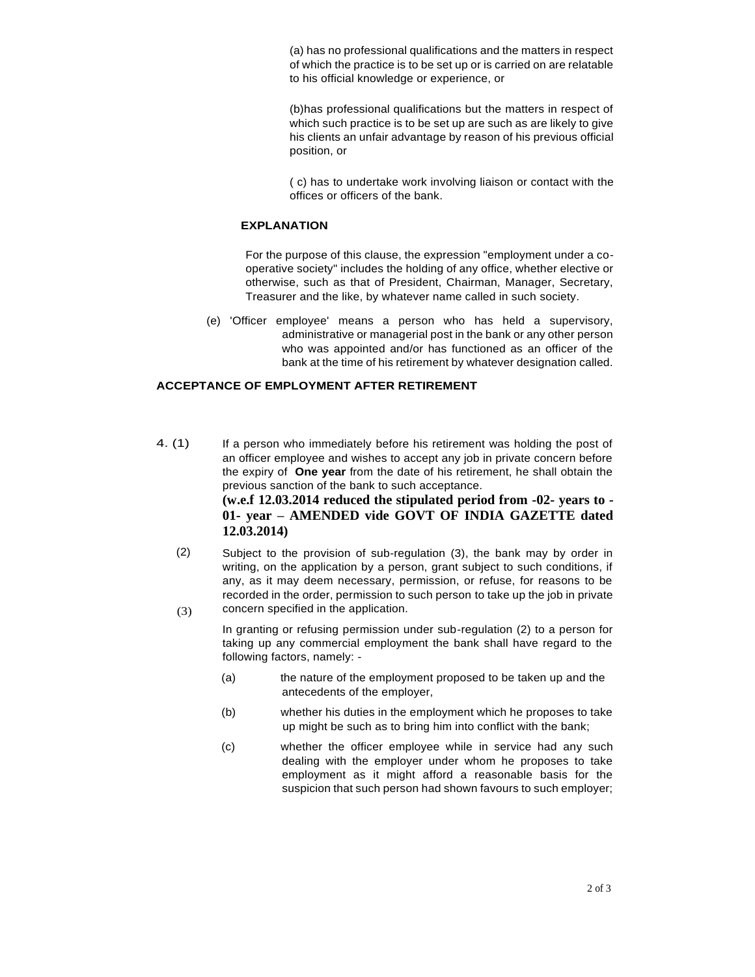(a) has no professional qualifications and the matters in respect of which the practice is to be set up or is carried on are relatable to his official knowledge or experience, or

(b)has professional qualifications but the matters in respect of which such practice is to be set up are such as are likely to give his clients an unfair advantage by reason of his previous official position, or

( c) has to undertake work involving liaison or contact with the offices or officers of the bank.

#### **EXPLANATION**

For the purpose of this clause, the expression "employment under a cooperative society" includes the holding of any office, whether elective or otherwise, such as that of President, Chairman, Manager, Secretary, Treasurer and the like, by whatever name called in such society.

(e) 'Officer employee' means a person who has held a supervisory, administrative or managerial post in the bank or any other person who was appointed and/or has functioned as an officer of the bank at the time of his retirement by whatever designation called.

### **ACCEPTANCE OF EMPLOYMENT AFTER RETIREMENT**

- 4. (1) If a person who immediately before his retirement was holding the post of an officer employee and wishes to accept any job in private concern before the expiry of **One year** from the date of his retirement, he shall obtain the previous sanction of the bank to such acceptance. **(w.e.f 12.03.2014 reduced the stipulated period from -02- years to - 01- year – AMENDED vide GOVT OF INDIA GAZETTE dated 12.03.2014)**
	- (2) (3) Subject to the provision of sub-regulation (3), the bank may by order in writing, on the application by a person, grant subject to such conditions, if any, as it may deem necessary, permission, or refuse, for reasons to be recorded in the order, permission to such person to take up the job in private concern specified in the application.

In granting or refusing permission under sub-regulation (2) to a person for taking up any commercial employment the bank shall have regard to the following factors, namely: -

- (a) the nature of the employment proposed to be taken up and the antecedents of the employer,
- (b) whether his duties in the employment which he proposes to take up might be such as to bring him into conflict with the bank;
- (c) whether the officer employee while in service had any such dealing with the employer under whom he proposes to take employment as it might afford a reasonable basis for the suspicion that such person had shown favours to such employer;